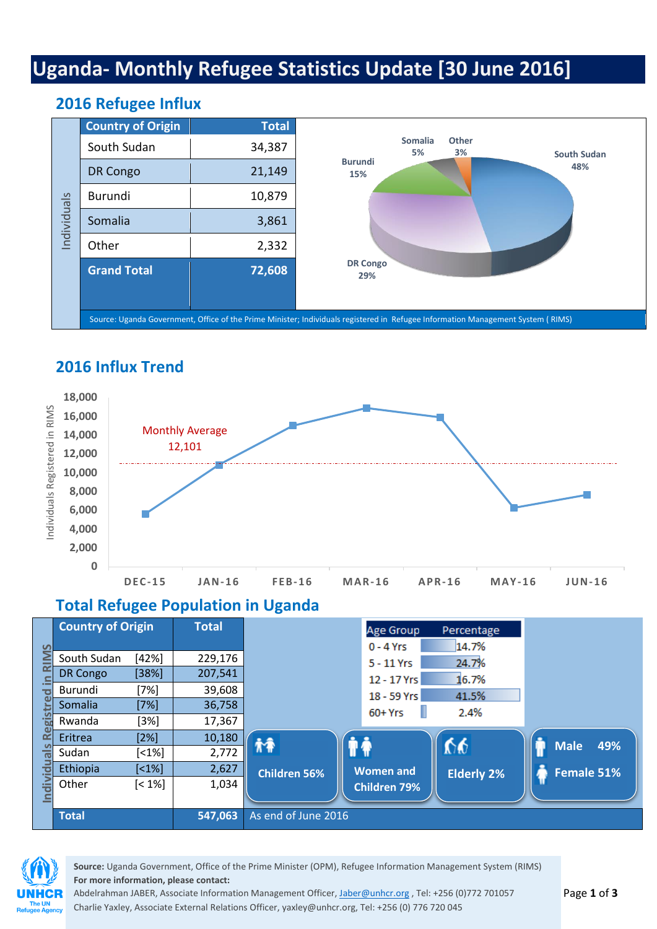# **Uganda- Monthly Refugee Statistics Update [30 June 2016]**

#### **Country of Origin Total** South Sudan | 34,387 DR Congo  $\vert$  21,149 Burundi 10,879 Somalia  $\vert$  3,861 Other 1 2,332 **Grand Total 72,608** Source: Uganda Government, Office of the Prime Minister; Individuals registered in Refugee Information Management System ( RIMS) **South Sudan 48% DR Congo 29% Burundi 15% Somalia 5% Other 3%**

#### **2016 Refugee Influx**



#### **Total Refugee Population in Uganda**

|                           | <b>Country of Origin</b>                                       |                                                                    | <b>Total</b>                                     |                           | Age Group                                                             | Percentage                               |             |                   |
|---------------------------|----------------------------------------------------------------|--------------------------------------------------------------------|--------------------------------------------------|---------------------------|-----------------------------------------------------------------------|------------------------------------------|-------------|-------------------|
| $\Omega$<br>.=<br>ಕ<br>ਾਲ | South Sudan<br><b>DR Congo</b><br>Burundi<br>Somalia<br>Rwanda | [42%]<br>[38%]<br>[7%]<br>$[7\%]$<br>[3%]                          | 229,176<br>207,541<br>39,608<br>36,758<br>17,367 |                           | $0 - 4$ Yrs<br>$5 - 11$ Yrs<br>12 - 17 Yrs<br>18 - 59 Yrs<br>$60+Yrs$ | 14.7%<br>24.7%<br>16.7%<br>41.5%<br>2.4% |             |                   |
|                           | Eritrea<br>Sudan<br>Ethiopia                                   | [2%]<br>$\left[ 1\% \right]$<br>$\left[ \text{<}1\text{%} \right]$ | 10,180<br>2,772<br>2,627                         | ħÂ<br><b>Children 56%</b> | <b>Women and</b>                                                      | 66<br><b>Elderly 2%</b>                  | <b>Male</b> | 49%<br>Female 51% |
| $\frac{1}{\overline{D}}$  | Other<br><b>Total</b>                                          | $[< 1\%]$                                                          | 1,034<br>547,063                                 | As end of June 2016       | <b>Children 79%</b>                                                   |                                          |             |                   |



**Source:** Uganda Government, Office of the Prime Minister (OPM), Refugee Information Management System (RIMS) **For more information, please contact:**

Abdelrahman JABER, Associate Information Management Officer, [Jaber@unhcr.org](mailto:Jaber@unhcr.org) , Tel: +256 (0)772 701057 Charlie Yaxley, Associate External Relations Officer, [yaxley@unhcr.org,](mailto:yaxley@unhcr.org) Tel: +256 (0) 776 720 045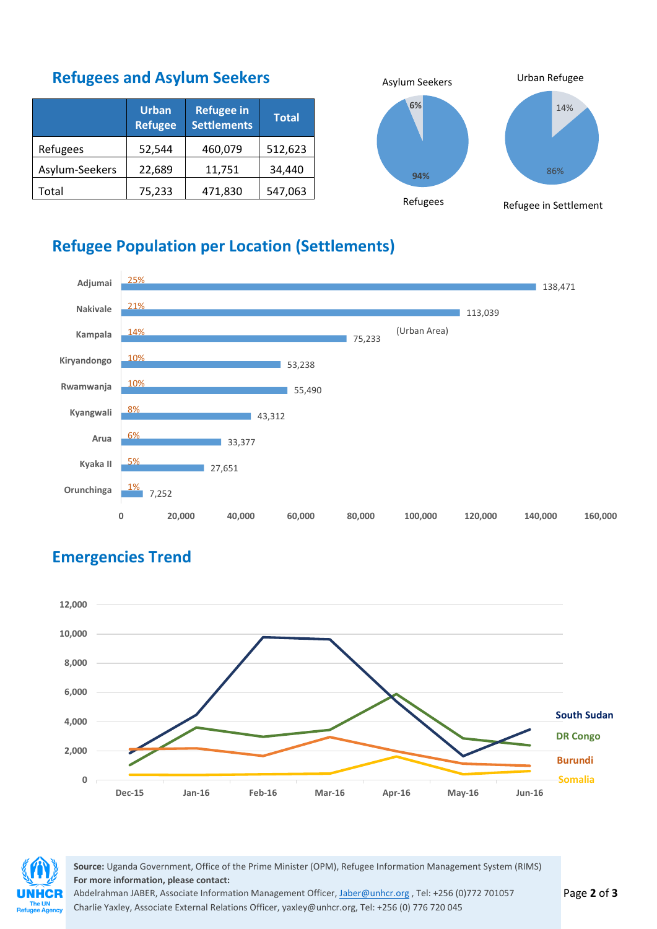### **Refugees and Asylum Seekers**

|                | <b>Urban</b><br><b>Refugee</b> | <b>Refugee in</b><br><b>Settlements</b> | <b>Total</b> |
|----------------|--------------------------------|-----------------------------------------|--------------|
| Refugees       | 52,544                         | 460,079                                 | 512,623      |
| Asylum-Seekers | 22,689                         | 11,751                                  | 34,440       |
| Total          | 75,233                         | 471,830                                 | 547,063      |



### **Refugee Population per Location (Settlements)**



## **Emergencies Trend**





**Source:** Uganda Government, Office of the Prime Minister (OPM), Refugee Information Management System (RIMS) **For more information, please contact:**

Abdelrahman JABER, Associate Information Management Officer, [Jaber@unhcr.org](mailto:Jaber@unhcr.org), Tel: +256 (0)772 701057 Charlie Yaxley, Associate External Relations Officer, [yaxley@unhcr.org,](mailto:yaxley@unhcr.org) Tel: +256 (0) 776 720 045